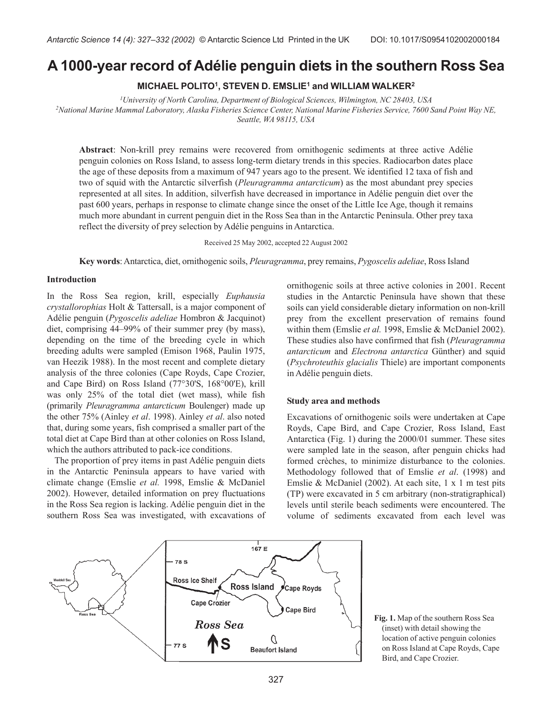# **A 1000-year record of Adélie penguin diets in the southern Ross Sea**

**MICHAEL POLITO1, STEVEN D. EMSLIE1 and WILLIAM WALKER2**

*1 University of North Carolina, Department of Biological Sciences, Wilmington, NC 28403, USA 2 National Marine Mammal Laboratory, Alaska Fisheries Science Center, National Marine Fisheries Service, 7600 Sand Point Way NE, Seattle, WA 98115, USA*

**Abstract**: Non-krill prey remains were recovered from ornithogenic sediments at three active Adélie penguin colonies on Ross Island, to assess long-term dietary trends in this species. Radiocarbon dates place the age of these deposits from a maximum of 947 years ago to the present. We identified 12 taxa of fish and two of squid with the Antarctic silverfish (*Pleuragramma antarcticum*) as the most abundant prey species represented at all sites. In addition, silverfish have decreased in importance in Adélie penguin diet over the past 600 years, perhaps in response to climate change since the onset of the Little Ice Age, though it remains much more abundant in current penguin diet in the Ross Sea than in the Antarctic Peninsula. Other prey taxa reflect the diversity of prey selection by Adélie penguins in Antarctica.

Received 25 May 2002, accepted 22 August 2002

**Key words**: Antarctica, diet, ornithogenic soils, *Pleuragramma*, prey remains, *Pygoscelis adeliae*, Ross Island

### **Introduction**

In the Ross Sea region, krill, especially *Euphausia crystallorophias* Holt & Tattersall, is a major component of Adélie penguin (*Pygoscelis adeliae* Hombron & Jacquinot) diet, comprising 44–99% of their summer prey (by mass), depending on the time of the breeding cycle in which breeding adults were sampled (Emison 1968, Paulin 1975, van Heezik 1988). In the most recent and complete dietary analysis of the three colonies (Cape Royds, Cape Crozier, and Cape Bird) on Ross Island (77°30'S, 168°00'E), krill was only 25% of the total diet (wet mass), while fish (primarily *Pleuragramma antarcticum* Boulenger) made up the other 75% (Ainley *et al*. 1998). Ainley *et al*. also noted that, during some years, fish comprised a smaller part of the total diet at Cape Bird than at other colonies on Ross Island, which the authors attributed to pack-ice conditions.

The proportion of prey items in past Adélie penguin diets in the Antarctic Peninsula appears to have varied with climate change (Emslie *et al.* 1998, Emslie & McDaniel 2002). However, detailed information on prey fluctuations in the Ross Sea region is lacking. Adélie penguin diet in the southern Ross Sea was investigated, with excavations of ornithogenic soils at three active colonies in 2001. Recent studies in the Antarctic Peninsula have shown that these soils can yield considerable dietary information on non-krill prey from the excellent preservation of remains found within them (Emslie *et al.* 1998, Emslie & McDaniel 2002). These studies also have confirmed that fish (*Pleuragramma antarcticum* and *Electrona antarctica* Günther) and squid (*Psychroteuthis glacialis* Thiele) are important components in Adélie penguin diets.

## **Study area and methods**

Excavations of ornithogenic soils were undertaken at Cape Royds, Cape Bird, and Cape Crozier, Ross Island, East Antarctica (Fig. 1) during the 2000/01 summer. These sites were sampled late in the season, after penguin chicks had formed crèches, to minimize disturbance to the colonies. Methodology followed that of Emslie *et al*. (1998) and Emslie & McDaniel (2002). At each site, 1 x 1 m test pits (TP) were excavated in 5 cm arbitrary (non-stratigraphical) levels until sterile beach sediments were encountered. The volume of sediments excavated from each level was



**Fig. 1.** Map of the southern Ross Sea (inset) with detail showing the location of active penguin colonies on Ross Island at Cape Royds, Cape Bird, and Cape Crozier.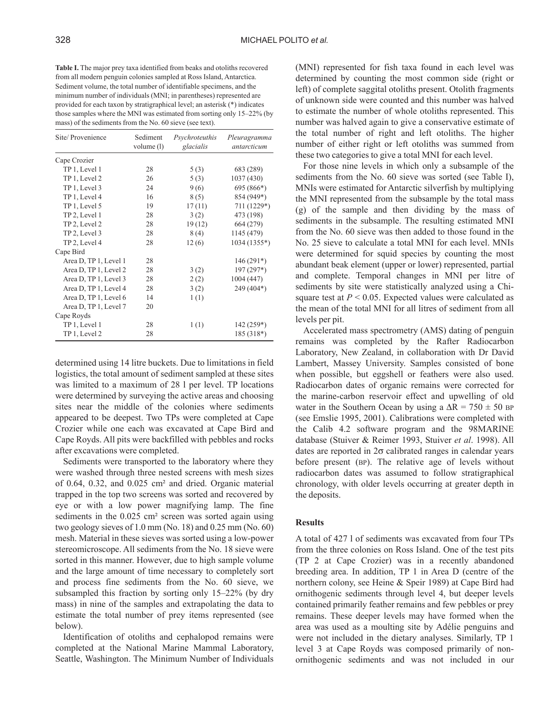**Table I.** The major prey taxa identified from beaks and otoliths recovered from all modern penguin colonies sampled at Ross Island, Antarctica. Sediment volume, the total number of identifiable specimens, and the minimum number of individuals (MNI; in parentheses) represented are provided for each taxon by stratigraphical level; an asterisk (\*) indicates those samples where the MNI was estimated from sorting only 15–22% (by mass) of the sediments from the No. 60 sieve (see text).

| Site/Provenience      | Sediment<br>volume (l) | Psychroteuthis<br>glacialis | Pleuragramma<br>antarcticum |
|-----------------------|------------------------|-----------------------------|-----------------------------|
| Cape Crozier          |                        |                             |                             |
| TP 1, Level 1         | 28                     | 5(3)                        | 683 (289)                   |
| TP 1, Level 2         | 26                     | 5(3)                        | 1037 (430)                  |
| TP 1, Level 3         | 24                     | 9(6)                        | 695 (866*)                  |
| TP 1, Level 4         | 16                     | 8(5)                        | 854 (949*)                  |
| TP 1, Level 5         | 19                     | 17(11)                      | 711 (1229*)                 |
| TP 2, Level 1         | 28                     | 3(2)                        | 473 (198)                   |
| TP 2, Level 2         | 28                     | 19(12)                      | 664 (279)                   |
| TP 2, Level 3         | 28                     | 8(4)                        | 1145 (479)                  |
| TP 2, Level 4         | 28                     | 12(6)                       | 1034 (1355*)                |
| Cape Bird             |                        |                             |                             |
| Area D, TP 1, Level 1 | 28                     |                             | $146(291*)$                 |
| Area D, TP 1, Level 2 | 28                     | 3(2)                        | $197(297*)$                 |
| Area D, TP 1, Level 3 | 28                     | 2(2)                        | 1004 (447)                  |
| Area D, TP 1, Level 4 | 28                     | 3(2)                        | 249 (404*)                  |
| Area D, TP 1, Level 6 | 14                     | 1(1)                        |                             |
| Area D, TP 1, Level 7 | 20                     |                             |                             |
| Cape Royds            |                        |                             |                             |
| TP 1, Level 1         | 28                     | 1(1)                        | $142(259*)$                 |
| TP 1, Level 2         | 28                     |                             | $185(318*)$                 |

determined using 14 litre buckets. Due to limitations in field logistics, the total amount of sediment sampled at these sites was limited to a maximum of 28 l per level. TP locations were determined by surveying the active areas and choosing sites near the middle of the colonies where sediments appeared to be deepest. Two TPs were completed at Cape Crozier while one each was excavated at Cape Bird and Cape Royds. All pits were backfilled with pebbles and rocks after excavations were completed.

Sediments were transported to the laboratory where they were washed through three nested screens with mesh sizes of 0.64, 0.32, and 0.025 cm² and dried. Organic material trapped in the top two screens was sorted and recovered by eye or with a low power magnifying lamp. The fine sediments in the 0.025 cm<sup>2</sup> screen was sorted again using two geology sieves of 1.0 mm (No. 18) and 0.25 mm (No. 60) mesh. Material in these sieves was sorted using a low-power stereomicroscope. All sediments from the No. 18 sieve were sorted in this manner. However, due to high sample volume and the large amount of time necessary to completely sort and process fine sediments from the No. 60 sieve, we subsampled this fraction by sorting only 15–22% (by dry mass) in nine of the samples and extrapolating the data to estimate the total number of prey items represented (see below).

Identification of otoliths and cephalopod remains were completed at the National Marine Mammal Laboratory, Seattle, Washington. The Minimum Number of Individuals (MNI) represented for fish taxa found in each level was determined by counting the most common side (right or left) of complete saggital otoliths present. Otolith fragments of unknown side were counted and this number was halved to estimate the number of whole otoliths represented. This number was halved again to give a conservative estimate of the total number of right and left otoliths. The higher number of either right or left otoliths was summed from these two categories to give a total MNI for each level.

For those nine levels in which only a subsample of the sediments from the No. 60 sieve was sorted (see Table I), MNIs were estimated for Antarctic silverfish by multiplying the MNI represented from the subsample by the total mass (g) of the sample and then dividing by the mass of sediments in the subsample. The resulting estimated MNI from the No. 60 sieve was then added to those found in the No. 25 sieve to calculate a total MNI for each level. MNIs were determined for squid species by counting the most abundant beak element (upper or lower) represented, partial and complete. Temporal changes in MNI per litre of sediments by site were statistically analyzed using a Chisquare test at  $P < 0.05$ . Expected values were calculated as the mean of the total MNI for all litres of sediment from all levels per pit.

Accelerated mass spectrometry (AMS) dating of penguin remains was completed by the Rafter Radiocarbon Laboratory, New Zealand, in collaboration with Dr David Lambert, Massey University. Samples consisted of bone when possible, but eggshell or feathers were also used. Radiocarbon dates of organic remains were corrected for the marine-carbon reservoir effect and upwelling of old water in the Southern Ocean by using a  $\Delta R = 750 \pm 50$  BP (see Emslie 1995, 2001). Calibrations were completed with the Calib 4.2 software program and the 98MARINE database (Stuiver & Reimer 1993, Stuiver *et al*. 1998). All dates are reported in  $2\sigma$  calibrated ranges in calendar years before present (BP). The relative age of levels without radiocarbon dates was assumed to follow stratigraphical chronology, with older levels occurring at greater depth in the deposits.

# **Results**

A total of 427 l of sediments was excavated from four TPs from the three colonies on Ross Island. One of the test pits (TP 2 at Cape Crozier) was in a recently abandoned breeding area. In addition, TP 1 in Area D (centre of the northern colony, see Heine & Speir 1989) at Cape Bird had ornithogenic sediments through level 4, but deeper levels contained primarily feather remains and few pebbles or prey remains. These deeper levels may have formed when the area was used as a moulting site by Adélie penguins and were not included in the dietary analyses. Similarly, TP 1 level 3 at Cape Royds was composed primarily of nonornithogenic sediments and was not included in our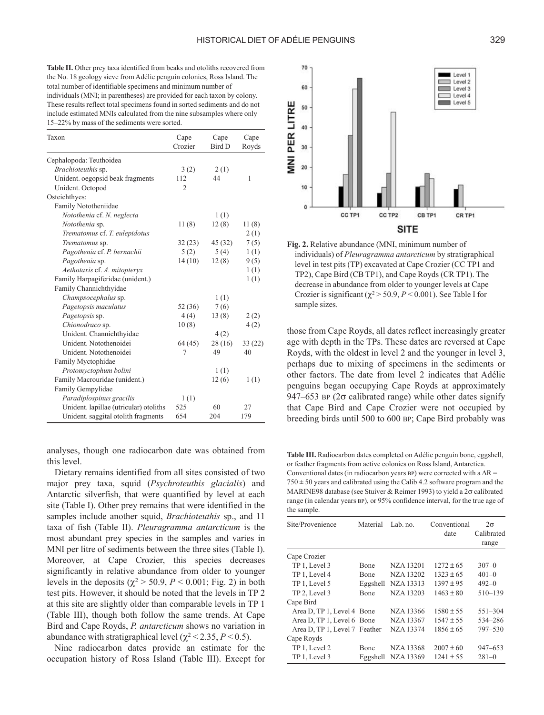**Table II.** Other prey taxa identified from beaks and otoliths recovered from the No. 18 geology sieve from Adélie penguin colonies, Ross Island. The total number of identifiable specimens and minimum number of individuals (MNI; in parentheses) are provided for each taxon by colony. These results reflect total specimens found in sorted sediments and do not include estimated MNIs calculated from the nine subsamples where only 15–22% by mass of the sediments were sorted.

| Taxon                                  | Cape<br>Crozier | Cape<br>Bird D | Cape<br>Royds |
|----------------------------------------|-----------------|----------------|---------------|
| Cephalopoda: Teuthoidea                |                 |                |               |
| Brachioteuthis sp.                     | 3(2)            | 2(1)           |               |
| Unident. oegopsid beak fragments       | 112             | 44             | 1             |
| Unident. Octopod                       | $\overline{2}$  |                |               |
| Osteichthyes:                          |                 |                |               |
| Family Nototheniidae                   |                 |                |               |
| Notothenia cf. N. neglecta             |                 | 1(1)           |               |
| Notothenia sp.                         | 11(8)           | 12(8)          | 11(8)         |
| Trematomus cf. T. eulepidotus          |                 |                | 2(1)          |
| Trematomus sp.                         | 32(23)          | 45 (32)        | 7(5)          |
| Pagothenia cf. P. bernachii            | 5(2)            | 5(4)           | 1(1)          |
| Pagothenia sp.                         | 14(10)          | 12(8)          | 9(5)          |
| Aethotaxis cf. A. mitopteryx           |                 |                | 1(1)          |
| Family Harpagiferidae (unident.)       |                 |                | 1(1)          |
| Family Channichthyidae                 |                 |                |               |
| Champsocephalus sp.                    |                 | 1(1)           |               |
| Pagetopsis maculatus                   | 52 (36)         | 7(6)           |               |
| Pagetopsis sp.                         | 4(4)            | 13(8)          | 2(2)          |
| Chionodraco sp.                        | 10(8)           |                | 4(2)          |
| Unident. Channichthyidae               |                 | 4(2)           |               |
| Unident. Notothenoidei                 | 64 (45)         | 28(16)         | 33(22)        |
| Unident. Notothenoidei                 | 7               | 49             | 40            |
| Family Myctophidae                     |                 |                |               |
| Protomyctophum bolini                  |                 | 1(1)           |               |
| Family Macrouridae (unident.)          |                 | 12(6)          | 1(1)          |
| Family Gempylidae                      |                 |                |               |
| Paradiplospinus gracilis               | 1(1)            |                |               |
| Unident. lapillae (utricular) otoliths | 525             | 60             | 27            |
| Unident. saggital otolith fragments    | 654             | 204            | 179           |

analyses, though one radiocarbon date was obtained from this level.

Dietary remains identified from all sites consisted of two major prey taxa, squid (*Psychroteuthis glacialis*) and Antarctic silverfish, that were quantified by level at each site (Table I). Other prey remains that were identified in the samples include another squid, *Brachioteuthis* sp., and 11 taxa of fish (Table II). *Pleuragramma antarcticum* is the most abundant prey species in the samples and varies in MNI per litre of sediments between the three sites (Table I). Moreover, at Cape Crozier, this species decreases significantly in relative abundance from older to younger levels in the deposits ( $\chi^2$  > 50.9, *P* < 0.001; Fig. 2) in both test pits. However, it should be noted that the levels in TP 2 at this site are slightly older than comparable levels in TP 1 (Table III), though both follow the same trends. At Cape Bird and Cape Royds, *P. antarcticum* shows no variation in abundance with stratigraphical level  $(\chi^2$  < 2.35, *P* < 0.5).

Nine radiocarbon dates provide an estimate for the occupation history of Ross Island (Table III). Except for



**Fig. 2.** Relative abundance (MNI, minimum number of individuals) of *Pleuragramma antarcticum* by stratigraphical level in test pits (TP) excavated at Cape Crozier (CC TP1 and TP2), Cape Bird (CB TP1), and Cape Royds (CR TP1). The decrease in abundance from older to younger levels at Cape Crozier is significant ( $\chi^2$  > 50.9, *P* < 0.001). See Table I for sample sizes.

those from Cape Royds, all dates reflect increasingly greater age with depth in the TPs. These dates are reversed at Cape Royds, with the oldest in level 2 and the younger in level 3, perhaps due to mixing of specimens in the sediments or other factors. The date from level 2 indicates that Adélie penguins began occupying Cape Royds at approximately 947–653 BP ( $2\sigma$  calibrated range) while other dates signify that Cape Bird and Cape Crozier were not occupied by breeding birds until 500 to 600 BP; Cape Bird probably was

**Table III.** Radiocarbon dates completed on Adélie penguin bone, eggshell, or feather fragments from active colonies on Ross Island, Antarctica. Conventional dates (in radiocarbon years BP) were corrected with a  $\Delta R =$  $750 \pm 50$  years and calibrated using the Calib 4.2 software program and the MARINE98 database (see Stuiver & Reimer 1993) to yield a 2σ calibrated range (in calendar years BP), or 95% confidence interval, for the true age of the sample.

| Site/Provenience              | Material | Lab. no.  | Conventional<br>date | $2\sigma$<br>Calibrated<br>range |
|-------------------------------|----------|-----------|----------------------|----------------------------------|
| Cape Crozier                  |          |           |                      |                                  |
| TP 1, Level 3                 | Bone     | NZA 13201 | $1272 + 65$          | $307 - 0$                        |
| TP 1, Level 4                 | Bone     | NZA 13202 | $1323 + 65$          | $401 - 0$                        |
| TP 1, Level 5                 | Eggshell | NZA 13313 | $1397 \pm 95$        | $492 - 0$                        |
| TP 2, Level 3                 | Bone     | NZA 13203 | $1463 + 80$          | 510-139                          |
| Cape Bird                     |          |           |                      |                                  |
| Area D, TP 1, Level 4 Bone    |          | NZA 13366 | $1580 + 55$          | $551 - 304$                      |
| Area D, TP 1, Level 6 Bone    |          | NZA 13367 | $1547 + 55$          | 534-286                          |
| Area D, TP 1, Level 7 Feather |          | NZA 13374 | $1856 + 65$          | 797-530                          |
| Cape Royds                    |          |           |                      |                                  |
| TP 1, Level 2                 | Bone     | NZA 13368 | $2007 + 60$          | 947–653                          |
| TP 1, Level 3                 | Eggshell | NZA 13369 | $1241 \pm 55$        | $281 - 0$                        |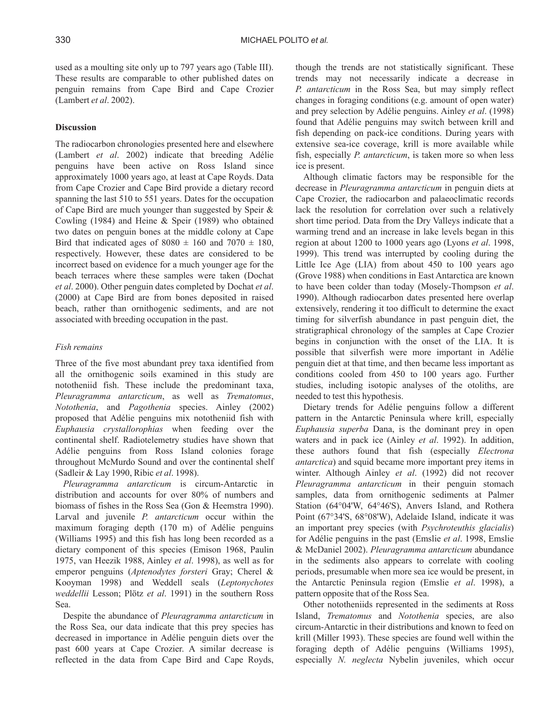used as a moulting site only up to 797 years ago (Table III). These results are comparable to other published dates on penguin remains from Cape Bird and Cape Crozier (Lambert *et al*. 2002).

# **Discussion**

The radiocarbon chronologies presented here and elsewhere (Lambert *et al*. 2002) indicate that breeding Adélie penguins have been active on Ross Island since approximately 1000 years ago, at least at Cape Royds. Data from Cape Crozier and Cape Bird provide a dietary record spanning the last 510 to 551 years. Dates for the occupation of Cape Bird are much younger than suggested by Speir & Cowling (1984) and Heine & Speir (1989) who obtained two dates on penguin bones at the middle colony at Cape Bird that indicated ages of  $8080 \pm 160$  and  $7070 \pm 180$ . respectively. However, these dates are considered to be incorrect based on evidence for a much younger age for the beach terraces where these samples were taken (Dochat *et al*. 2000). Other penguin dates completed by Dochat *et al*. (2000) at Cape Bird are from bones deposited in raised beach, rather than ornithogenic sediments, and are not associated with breeding occupation in the past.

# *Fish remains*

Three of the five most abundant prey taxa identified from all the ornithogenic soils examined in this study are nototheniid fish. These include the predominant taxa, *Pleuragramma antarcticum*, as well as *Trematomus*, *Notothenia*, and *Pagothenia* species. Ainley (2002) proposed that Adélie penguins mix nototheniid fish with *Euphausia crystallorophias* when feeding over the continental shelf. Radiotelemetry studies have shown that Adélie penguins from Ross Island colonies forage throughout McMurdo Sound and over the continental shelf (Sadleir & Lay 1990, Ribic *et al*. 1998).

*Pleuragramma antarcticum* is circum-Antarctic in distribution and accounts for over 80% of numbers and biomass of fishes in the Ross Sea (Gon & Heemstra 1990). Larval and juvenile *P. antarcticum* occur within the maximum foraging depth (170 m) of Adélie penguins (Williams 1995) and this fish has long been recorded as a dietary component of this species (Emison 1968, Paulin 1975, van Heezik 1988, Ainley *et al*. 1998), as well as for emperor penguins (*Aptenodytes forsteri* Gray; Cherel & Kooyman 1998) and Weddell seals (*Leptonychotes weddellii* Lesson; Plötz *et al*. 1991) in the southern Ross Sea.

Despite the abundance of *Pleuragramma antarcticum* in the Ross Sea, our data indicate that this prey species has decreased in importance in Adélie penguin diets over the past 600 years at Cape Crozier. A similar decrease is reflected in the data from Cape Bird and Cape Royds,

though the trends are not statistically significant. These trends may not necessarily indicate a decrease in *P. antarcticum* in the Ross Sea, but may simply reflect changes in foraging conditions (e.g. amount of open water) and prey selection by Adélie penguins. Ainley *et al*. (1998) found that Adélie penguins may switch between krill and fish depending on pack-ice conditions. During years with extensive sea-ice coverage, krill is more available while fish, especially *P. antarcticum*, is taken more so when less ice is present.

Although climatic factors may be responsible for the decrease in *Pleuragramma antarcticum* in penguin diets at Cape Crozier, the radiocarbon and palaeoclimatic records lack the resolution for correlation over such a relatively short time period. Data from the Dry Valleys indicate that a warming trend and an increase in lake levels began in this region at about 1200 to 1000 years ago (Lyons *et al*. 1998, 1999). This trend was interrupted by cooling during the Little Ice Age (LIA) from about 450 to 100 years ago (Grove 1988) when conditions in East Antarctica are known to have been colder than today (Mosely-Thompson *et al*. 1990). Although radiocarbon dates presented here overlap extensively, rendering it too difficult to determine the exact timing for silverfish abundance in past penguin diet, the stratigraphical chronology of the samples at Cape Crozier begins in conjunction with the onset of the LIA. It is possible that silverfish were more important in Adélie penguin diet at that time, and then became less important as conditions cooled from 450 to 100 years ago. Further studies, including isotopic analyses of the otoliths, are needed to test this hypothesis.

Dietary trends for Adélie penguins follow a different pattern in the Antarctic Peninsula where krill, especially *Euphausia superba* Dana, is the dominant prey in open waters and in pack ice (Ainley *et al*. 1992). In addition, these authors found that fish (especially *Electrona antarctica*) and squid became more important prey items in winter. Although Ainley *et al*. (1992) did not recover *Pleuragramma antarcticum* in their penguin stomach samples, data from ornithogenic sediments at Palmer Station (64°04'W, 64°46'S), Anvers Island, and Rothera Point (67°34'S, 68°08'W), Adelaide Island, indicate it was an important prey species (with *Psychroteuthis glacialis*) for Adélie penguins in the past (Emslie *et al*. 1998, Emslie & McDaniel 2002). *Pleuragramma antarcticum* abundance in the sediments also appears to correlate with cooling periods, presumable when more sea ice would be present, in the Antarctic Peninsula region (Emslie *et al*. 1998), a pattern opposite that of the Ross Sea.

Other nototheniids represented in the sediments at Ross Island, *Trematomus* and *Notothenia* species, are also circum-Antarctic in their distributions and known to feed on krill (Miller 1993). These species are found well within the foraging depth of Adélie penguins (Williams 1995), especially *N. neglecta* Nybelin juveniles, which occur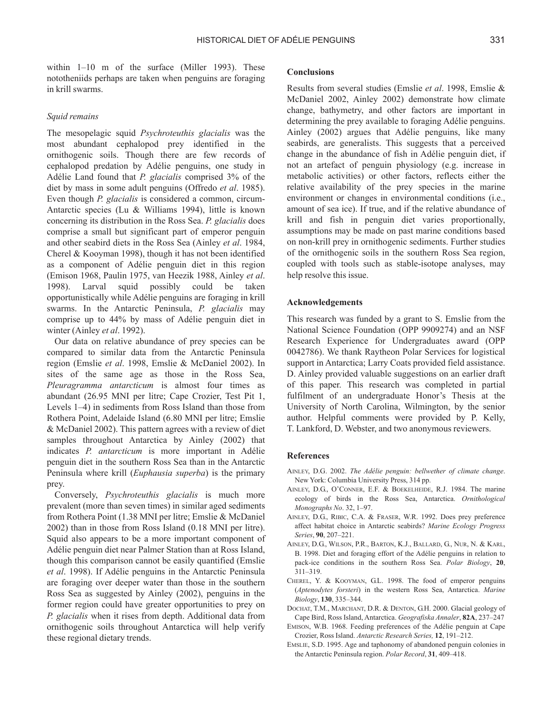within 1–10 m of the surface (Miller 1993). These nototheniids perhaps are taken when penguins are foraging in krill swarms.

#### *Squid remains*

The mesopelagic squid *Psychroteuthis glacialis* was the most abundant cephalopod prey identified in the ornithogenic soils. Though there are few records of cephalopod predation by Adélie penguins, one study in Adélie Land found that *P. glacialis* comprised 3% of the diet by mass in some adult penguins (Offredo *et al*. 1985). Even though *P. glacialis* is considered a common, circum-Antarctic species (Lu & Williams 1994), little is known concerning its distribution in the Ross Sea. *P. glacialis* does comprise a small but significant part of emperor penguin and other seabird diets in the Ross Sea (Ainley *et al*. 1984, Cherel & Kooyman 1998), though it has not been identified as a component of Adélie penguin diet in this region (Emison 1968, Paulin 1975, van Heezik 1988, Ainley *et al*. 1998). Larval squid possibly could be taken opportunistically while Adélie penguins are foraging in krill swarms. In the Antarctic Peninsula, *P. glacialis* may comprise up to 44% by mass of Adélie penguin diet in winter (Ainley *et al*. 1992).

Our data on relative abundance of prey species can be compared to similar data from the Antarctic Peninsula region (Emslie *et al*. 1998, Emslie & McDaniel 2002). In sites of the same age as those in the Ross Sea, *Pleuragramma antarcticum* is almost four times as abundant (26.95 MNI per litre; Cape Crozier, Test Pit 1, Levels 1–4) in sediments from Ross Island than those from Rothera Point, Adelaide Island (6.80 MNI per litre; Emslie & McDaniel 2002). This pattern agrees with a review of diet samples throughout Antarctica by Ainley (2002) that indicates *P. antarcticum* is more important in Adélie penguin diet in the southern Ross Sea than in the Antarctic Peninsula where krill (*Euphausia superba*) is the primary prey.

Conversely, *Psychroteuthis glacialis* is much more prevalent (more than seven times) in similar aged sediments from Rothera Point (1.38 MNI per litre; Emslie & McDaniel 2002) than in those from Ross Island (0.18 MNI per litre). Squid also appears to be a more important component of Adélie penguin diet near Palmer Station than at Ross Island, though this comparison cannot be easily quantified (Emslie *et al*. 1998). If Adélie penguins in the Antarctic Peninsula are foraging over deeper water than those in the southern Ross Sea as suggested by Ainley (2002), penguins in the former region could have greater opportunities to prey on *P. glacialis* when it rises from depth. Additional data from ornithogenic soils throughout Antarctica will help verify these regional dietary trends.

# **Conclusions**

Results from several studies (Emslie *et al*. 1998, Emslie & McDaniel 2002, Ainley 2002) demonstrate how climate change, bathymetry, and other factors are important in determining the prey available to foraging Adélie penguins. Ainley (2002) argues that Adélie penguins, like many seabirds, are generalists. This suggests that a perceived change in the abundance of fish in Adélie penguin diet, if not an artefact of penguin physiology (e.g. increase in metabolic activities) or other factors, reflects either the relative availability of the prey species in the marine environment or changes in environmental conditions (i.e., amount of sea ice). If true, and if the relative abundance of krill and fish in penguin diet varies proportionally, assumptions may be made on past marine conditions based on non-krill prey in ornithogenic sediments. Further studies of the ornithogenic soils in the southern Ross Sea region, coupled with tools such as stable-isotope analyses, may help resolve this issue.

#### **Acknowledgements**

This research was funded by a grant to S. Emslie from the National Science Foundation (OPP 9909274) and an NSF Research Experience for Undergraduates award (OPP 0042786). We thank Raytheon Polar Services for logistical support in Antarctica; Larry Coats provided field assistance. D. Ainley provided valuable suggestions on an earlier draft of this paper. This research was completed in partial fulfilment of an undergraduate Honor's Thesis at the University of North Carolina, Wilmington, by the senior author. Helpful comments were provided by P. Kelly, T. Lankford, D. Webster, and two anonymous reviewers.

## **References**

- AINLEY, D.G. 2002. *The Adélie penguin: bellwether of climate change*. New York: Columbia University Press, 314 pp.
- AINLEY, D.G., O'CONNER, E.F. & BOEKELHEIDE, R.J. 1984. The marine ecology of birds in the Ross Sea, Antarctica. *Ornithological Monographs No*. 32, 1–97.
- AINLEY, D.G., RIBIC, C.A. & FRASER, W.R. 1992. Does prey preference affect habitat choice in Antarctic seabirds? *Marine Ecology Progress Series*, **90**, 207–221.
- AINLEY, D.G., WILSON, P.R., BARTON, K.J., BALLARD, G., NUR, N. & KARL, B. 1998. Diet and foraging effort of the Adélie penguins in relation to pack-ice conditions in the southern Ross Sea. *Polar Biology*, **20**, 311–319.
- CHEREL, Y. & KOOYMAN, G.L. 1998. The food of emperor penguins (*Aptenodytes forsteri*) in the western Ross Sea, Antarctica. *Marine Biology*, **130**, 335–344.
- DOCHAT, T.M., MARCHANT, D.R. & DENTON, G.H. 2000. Glacial geology of Cape Bird, Ross Island, Antarctica. *Geografiska Annaler*, **82A**, 237–247
- EMISON, W.B. 1968. Feeding preferences of the Adélie penguin at Cape Crozier, Ross Island. *Antarctic Research Series,* **12**, 191–212.
- EMSLIE, S.D. 1995. Age and taphonomy of abandoned penguin colonies in the Antarctic Peninsula region. *Polar Record*, **31**, 409–418.